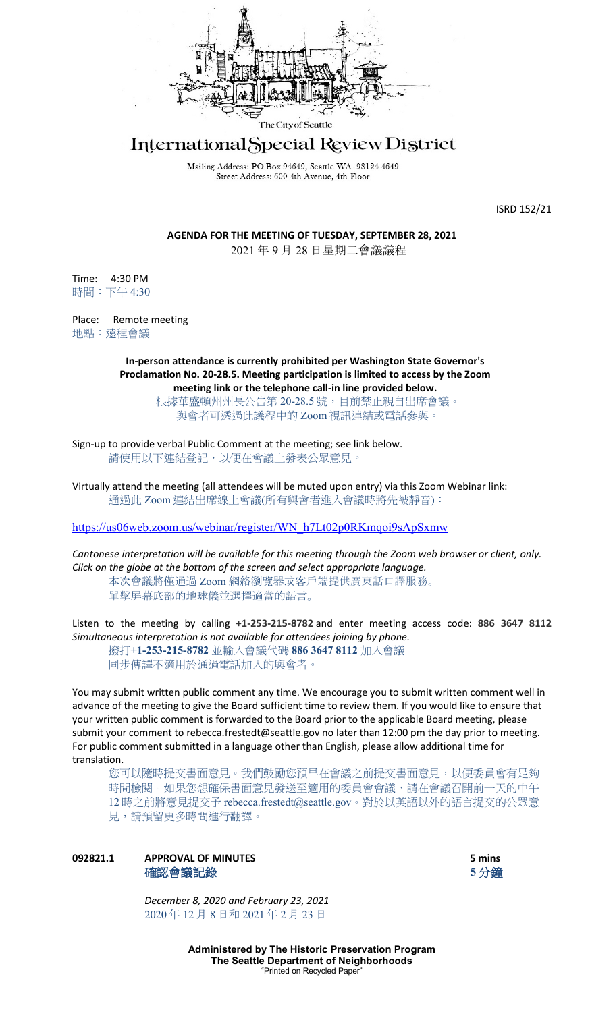

# International Special Review District

Mailing Address: PO Box 94649, Seattle WA 98124-4649 Street Address: 600 4th Avenue, 4th Floor

ISRD 152/21

**AGENDA FOR THE MEETING OF TUESDAY, SEPTEMBER 28, 2021** 2021 年 9 月 28 日星期二會議議程

Time: 4:30 PM 時間:下午 4:30

Place: Remote meeting 地點:遠程會議

> **In-person attendance is currently prohibited per Washington State Governor's Proclamation No. 20-28.5. Meeting participation is limited to access by the Zoom meeting link or the telephone call-in line provided below.**

根據華盛頓州州長公告第 20-28.5 號, 目前禁止親自出席會議。 與會者可透過此議程中的 Zoom 視訊連結或電話參與。

Sign-up to provide verbal Public Comment at the meeting; see link below. 請使用以下連結登記,以便在會議上發表公眾意見。

Virtually attend the meeting (all attendees will be muted upon entry) via this Zoom Webinar link: 通過此 Zoom 連結出席線上會議(所有與會者進入會議時將先被靜音):

[https://us06web.zoom.us/webinar/register/WN\\_h7Lt02p0RKmqoi9sApSxmw](https://us06web.zoom.us/webinar/register/WN_h7Lt02p0RKmqoi9sApSxmw)

*Cantonese interpretation will be available for this meeting through the Zoom web browser or client, only. Click on the globe at the bottom of the screen and select appropriate language.* 本次會議將僅通過 Zoom 網絡瀏覽器或客戶端提供廣東話口譯服務。

單擊屏幕底部的地球儀並選擇適當的語言。

Listen to the meeting by calling **+1-253-215-8782** and enter meeting access code: **886 3647 8112** *Simultaneous interpretation is not available for attendees joining by phone.*

撥打**+1-253-215-8782** 並輸入會議代碼 **886 3647 8112** 加入會議 同步傳譯不適用於通過電話加入的與會者。

You may submit written public comment any time. We encourage you to submit written comment well in advance of the meeting to give the Board sufficient time to review them. If you would like to ensure that your written public comment is forwarded to the Board prior to the applicable Board meeting, please submit your comment to rebecca.frestedt@seattle.gov no later than 12:00 pm the day prior to meeting. For public comment submitted in a language other than English, please allow additional time for translation.

您可以隨時提交書面意見。我們鼓勵您預早在會議之前提交書面意見,以便委員會有足夠 時間檢閱。如果您想確保書面意見發送至適用的委員會會議,請在會議召開前一天的中午 12 時之前將意見提交予 rebecca.frestedt@seattle.gov。對於以英語以外的語言提交的公眾意 見,請預留更多時間進行翻譯。

# **092821.1 APPROVAL OF MINUTES 5 mins** 確認會議記錄 **5** 分鐘

*December 8, 2020 and February 23, 2021* 2020 年 12 月 8 日和 2021 年 2 月 23 日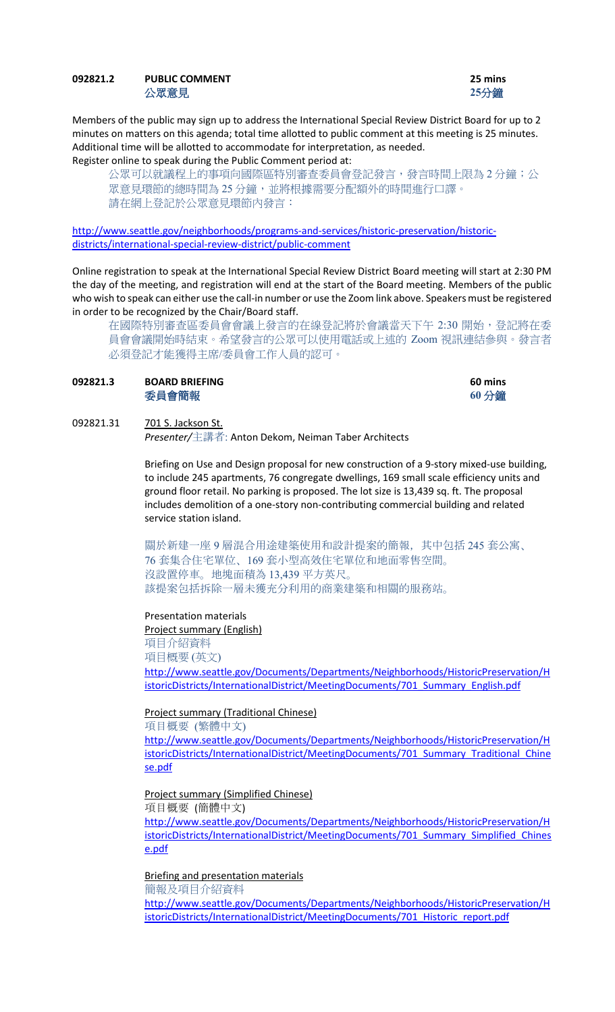# **092821.2 PUBLIC COMMENT 25 mins** 公眾意見 **25**分鐘

Members of the public may sign up to address the International Special Review District Board for up to 2 minutes on matters on this agenda; total time allotted to public comment at this meeting is 25 minutes. Additional time will be allotted to accommodate for interpretation, as needed. Register online to speak during the Public Comment period at:

公眾可以就議程上的事項向國際區特別審查委員會登記發言,發言時間上限為 2 分鐘;公 眾意見環節的總時間為 25 分鐘,並將根據需要分配額外的時間進行口譯。 請在網上登記於公眾意見環節內發言:

[http://www.seattle.gov/neighborhoods/programs-and-services/historic-preservation/historic](http://www.seattle.gov/neighborhoods/programs-and-services/historic-preservation/historic-districts/international-special-review-district/public-comment)[districts/international-special-review-district/public-comment](http://www.seattle.gov/neighborhoods/programs-and-services/historic-preservation/historic-districts/international-special-review-district/public-comment)

Online registration to speak at the International Special Review District Board meeting will start at 2:30 PM the day of the meeting, and registration will end at the start of the Board meeting. Members of the public who wish to speak can either use the call-in number or use the Zoom link above. Speakers must be registered in order to be recognized by the Chair/Board staff.

在國際特別審查區委員會會議上發言的在線登記將於會議當天下午 2:30 開始, 登記將在委 員會會議開始時結束。希望發言的公眾可以使用電話或上述的 Zoom 視訊連結參與。發言者 必須登記才能獲得主席/委員會工作人員的認可。

| 092821.3 | <b>BOARD BRIEFING</b> | 60 mins |
|----------|-----------------------|---------|
|          | 委員會簡報                 | 60 分鐘   |

## 092821.31 701 S. Jackson St.

*Presenter/*主講者: Anton Dekom, Neiman Taber Architects

Briefing on Use and Design proposal for new construction of a 9-story mixed-use building, to include 245 apartments, 76 congregate dwellings, 169 small scale efficiency units and ground floor retail. No parking is proposed. The lot size is 13,439 sq. ft. The proposal includes demolition of a one-story non-contributing commercial building and related service station island.

關於新建一座 9 層混合用途建築使用和設計提案的簡報,其中包括 245 套公寓、 76 套集合住宅單位、169 套小型高效住宅單位和地面零售空間。 沒設置停車。地塊面積為 13,439 平方英尺。 該提案包括拆除一層未獲充分利用的商業建築和相關的服務站。

#### Presentation materials

Project summary (English) 項目介紹資料 項目概要 (英文) [http://www.seattle.gov/Documents/Departments/Neighborhoods/HistoricPreservation/H](http://www.seattle.gov/Documents/Departments/Neighborhoods/HistoricPreservation/HistoricDistricts/InternationalDistrict/MeetingDocuments/701_Summary_English.pdf) [istoricDistricts/InternationalDistrict/MeetingDocuments/701\\_Summary\\_English.pdf](http://www.seattle.gov/Documents/Departments/Neighborhoods/HistoricPreservation/HistoricDistricts/InternationalDistrict/MeetingDocuments/701_Summary_English.pdf)

Project summary (Traditional Chinese)

項目概要 (繁體中文) [http://www.seattle.gov/Documents/Departments/Neighborhoods/HistoricPreservation/H](http://www.seattle.gov/Documents/Departments/Neighborhoods/HistoricPreservation/HistoricDistricts/InternationalDistrict/MeetingDocuments/701_Summary_Traditional_Chinese.pdf) [istoricDistricts/InternationalDistrict/MeetingDocuments/701\\_Summary\\_Traditional\\_Chine](http://www.seattle.gov/Documents/Departments/Neighborhoods/HistoricPreservation/HistoricDistricts/InternationalDistrict/MeetingDocuments/701_Summary_Traditional_Chinese.pdf) [se.pdf](http://www.seattle.gov/Documents/Departments/Neighborhoods/HistoricPreservation/HistoricDistricts/InternationalDistrict/MeetingDocuments/701_Summary_Traditional_Chinese.pdf)

# Project summary (Simplified Chinese)

項目概要 (簡體中文)

[http://www.seattle.gov/Documents/Departments/Neighborhoods/HistoricPreservation/H](http://www.seattle.gov/Documents/Departments/Neighborhoods/HistoricPreservation/HistoricDistricts/InternationalDistrict/MeetingDocuments/701_Summary_Simplified_Chinese.pdf) [istoricDistricts/InternationalDistrict/MeetingDocuments/701\\_Summary\\_Simplified\\_Chines](http://www.seattle.gov/Documents/Departments/Neighborhoods/HistoricPreservation/HistoricDistricts/InternationalDistrict/MeetingDocuments/701_Summary_Simplified_Chinese.pdf) [e.pdf](http://www.seattle.gov/Documents/Departments/Neighborhoods/HistoricPreservation/HistoricDistricts/InternationalDistrict/MeetingDocuments/701_Summary_Simplified_Chinese.pdf)

**Briefing and presentation materials** 

簡報及項目介紹資料

[http://www.seattle.gov/Documents/Departments/Neighborhoods/HistoricPreservation/H](http://www.seattle.gov/Documents/Departments/Neighborhoods/HistoricPreservation/HistoricDistricts/InternationalDistrict/MeetingDocuments/701_Historic_report.pdf) [istoricDistricts/InternationalDistrict/MeetingDocuments/701\\_Historic\\_report.pdf](http://www.seattle.gov/Documents/Departments/Neighborhoods/HistoricPreservation/HistoricDistricts/InternationalDistrict/MeetingDocuments/701_Historic_report.pdf)